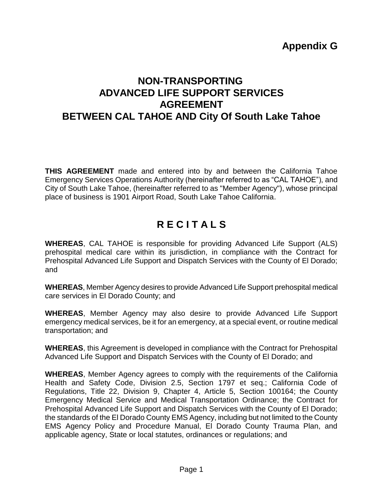# **Appendix G**

# **NON-TRANSPORTING ADVANCED LIFE SUPPORT SERVICES AGREEMENT BETWEEN CAL TAHOE AND City Of South Lake Tahoe**

**THIS AGREEMENT** made and entered into by and between the California Tahoe Emergency Services Operations Authority (hereinafter referred to as "CAL TAHOE"), and City of South Lake Tahoe, (hereinafter referred to as "Member Agency"), whose principal place of business is 1901 Airport Road, South Lake Tahoe California.

# **R E C I T A L S**

**WHEREAS**, CAL TAHOE is responsible for providing Advanced Life Support (ALS) prehospital medical care within its jurisdiction, in compliance with the Contract for Prehospital Advanced Life Support and Dispatch Services with the County of El Dorado; and

**WHEREAS**, Member Agency desires to provide Advanced Life Support prehospital medical care services in El Dorado County; and

**WHEREAS**, Member Agency may also desire to provide Advanced Life Support emergency medical services, be it for an emergency, at a special event, or routine medical transportation; and

**WHEREAS**, this Agreement is developed in compliance with the Contract for Prehospital Advanced Life Support and Dispatch Services with the County of El Dorado; and

**WHEREAS**, Member Agency agrees to comply with the requirements of the California Health and Safety Code, Division 2.5, Section 1797 et seq.; California Code of Regulations, Title 22, Division 9, Chapter 4, Article 5, Section 100164; the County Emergency Medical Service and Medical Transportation Ordinance; the Contract for Prehospital Advanced Life Support and Dispatch Services with the County of El Dorado; the standards of the El Dorado County EMS Agency, including but not limited to the County EMS Agency Policy and Procedure Manual, El Dorado County Trauma Plan, and applicable agency, State or local statutes, ordinances or regulations; and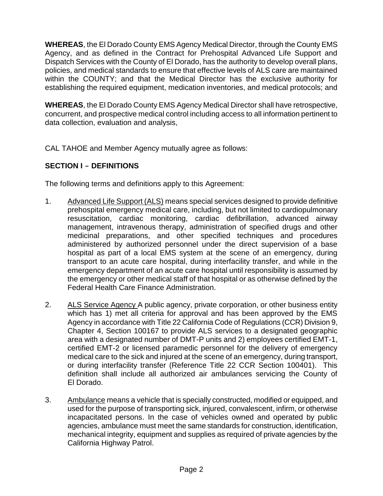**WHEREAS**, the El Dorado County EMS Agency Medical Director, through the County EMS Agency, and as defined in the Contract for Prehospital Advanced Life Support and Dispatch Services with the County of El Dorado, has the authority to develop overall plans, policies, and medical standards to ensure that effective levels of ALS care are maintained within the COUNTY; and that the Medical Director has the exclusive authority for establishing the required equipment, medication inventories, and medical protocols; and

**WHEREAS**, the El Dorado County EMS Agency Medical Director shall have retrospective, concurrent, and prospective medical control including access to all information pertinent to data collection, evaluation and analysis,

CAL TAHOE and Member Agency mutually agree as follows:

# **SECTION I - DEFINITIONS**

The following terms and definitions apply to this Agreement:

- 1. Advanced Life Support (ALS) means special services designed to provide definitive prehospital emergency medical care, including, but not limited to cardiopulmonary resuscitation, cardiac monitoring, cardiac defibrillation, advanced airway management, intravenous therapy, administration of specified drugs and other medicinal preparations, and other specified techniques and procedures administered by authorized personnel under the direct supervision of a base hospital as part of a local EMS system at the scene of an emergency, during transport to an acute care hospital, during interfacility transfer, and while in the emergency department of an acute care hospital until responsibility is assumed by the emergency or other medical staff of that hospital or as otherwise defined by the Federal Health Care Finance Administration.
- 2. ALS Service Agency A public agency, private corporation, or other business entity which has 1) met all criteria for approval and has been approved by the EMS Agency in accordance with Title 22 California Code of Regulations (CCR) Division 9, Chapter 4, Section 100167 to provide ALS services to a designated geographic area with a designated number of DMT-P units and 2) employees certified EMT-1, certified EMT-2 or licensed paramedic personnel for the delivery of emergency medical care to the sick and injured at the scene of an emergency, during transport, or during interfacility transfer (Reference Title 22 CCR Section 100401). This definition shall include all authorized air ambulances servicing the County of El Dorado.
- 3. Ambulance means a vehicle that is specially constructed, modified or equipped, and used for the purpose of transporting sick, injured, convalescent, infirm, or otherwise incapacitated persons. In the case of vehicles owned and operated by public agencies, ambulance must meet the same standards for construction, identification, mechanical integrity, equipment and supplies as required of private agencies by the California Highway Patrol.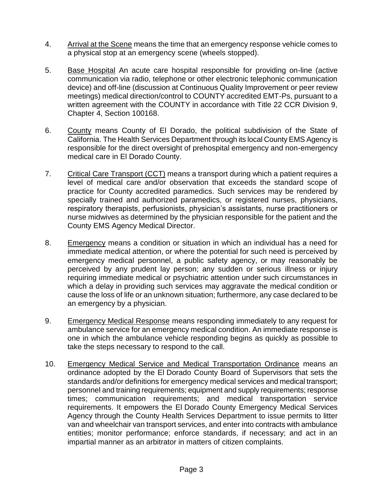- 4. Arrival at the Scene means the time that an emergency response vehicle comes to a physical stop at an emergency scene (wheels stopped).
- 5. Base Hospital An acute care hospital responsible for providing on-line (active communication via radio, telephone or other electronic telephonic communication device) and off-line (discussion at Continuous Quality Improvement or peer review meetings) medical direction/control to COUNTY accredited EMT-Ps, pursuant to a written agreement with the COUNTY in accordance with Title 22 CCR Division 9, Chapter 4, Section 100168.
- 6. County means County of El Dorado, the political subdivision of the State of California. The Health Services Department through its local County EMS Agency is responsible for the direct oversight of prehospital emergency and non-emergency medical care in El Dorado County.
- 7. Critical Care Transport (CCT) means a transport during which a patient requires a level of medical care and/or observation that exceeds the standard scope of practice for County accredited paramedics. Such services may be rendered by specially trained and authorized paramedics, or registered nurses, physicians, respiratory therapists, perfusionists, physician's assistants, nurse practitioners or nurse midwives as determined by the physician responsible for the patient and the County EMS Agency Medical Director.
- 8. Emergency means a condition or situation in which an individual has a need for immediate medical attention, or where the potential for such need is perceived by emergency medical personnel, a public safety agency, or may reasonably be perceived by any prudent lay person; any sudden or serious illness or injury requiring immediate medical or psychiatric attention under such circumstances in which a delay in providing such services may aggravate the medical condition or cause the loss of life or an unknown situation; furthermore, any case declared to be an emergency by a physician.
- 9. Emergency Medical Response means responding immediately to any request for ambulance service for an emergency medical condition. An immediate response is one in which the ambulance vehicle responding begins as quickly as possible to take the steps necessary to respond to the call.
- 10. Emergency Medical Service and Medical Transportation Ordinance means an ordinance adopted by the El Dorado County Board of Supervisors that sets the standards and/or definitions for emergency medical services and medical transport; personnel and training requirements; equipment and supply requirements; response times; communication requirements; and medical transportation service requirements. It empowers the El Dorado County Emergency Medical Services Agency through the County Health Services Department to issue permits to litter van and wheelchair van transport services, and enter into contracts with ambulance entities; monitor performance; enforce standards, if necessary; and act in an impartial manner as an arbitrator in matters of citizen complaints.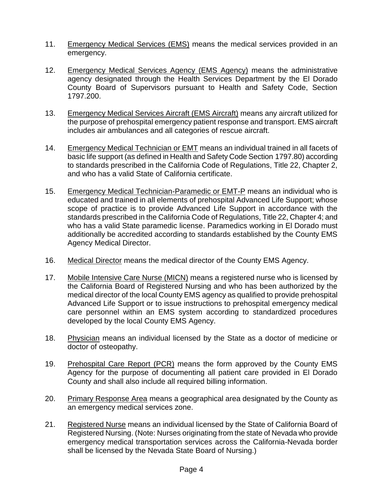- 11. Emergency Medical Services (EMS) means the medical services provided in an emergency.
- 12. Emergency Medical Services Agency (EMS Agency) means the administrative agency designated through the Health Services Department by the El Dorado County Board of Supervisors pursuant to Health and Safety Code, Section 1797.200.
- 13. Emergency Medical Services Aircraft (EMS Aircraft) means any aircraft utilized for the purpose of prehospital emergency patient response and transport. EMS aircraft includes air ambulances and all categories of rescue aircraft.
- 14. Emergency Medical Technician or EMT means an individual trained in all facets of basic life support (as defined in Health and Safety Code Section 1797.80) according to standards prescribed in the California Code of Regulations, Title 22, Chapter 2, and who has a valid State of California certificate.
- 15. Emergency Medical Technician-Paramedic or EMT-P means an individual who is educated and trained in all elements of prehospital Advanced Life Support; whose scope of practice is to provide Advanced Life Support in accordance with the standards prescribed in the California Code of Regulations, Title 22, Chapter 4; and who has a valid State paramedic license. Paramedics working in El Dorado must additionally be accredited according to standards established by the County EMS Agency Medical Director.
- 16. Medical Director means the medical director of the County EMS Agency.
- 17. Mobile Intensive Care Nurse (MICN) means a registered nurse who is licensed by the California Board of Registered Nursing and who has been authorized by the medical director of the local County EMS agency as qualified to provide prehospital Advanced Life Support or to issue instructions to prehospital emergency medical care personnel within an EMS system according to standardized procedures developed by the local County EMS Agency.
- 18. Physician means an individual licensed by the State as a doctor of medicine or doctor of osteopathy.
- 19. Prehospital Care Report (PCR) means the form approved by the County EMS Agency for the purpose of documenting all patient care provided in El Dorado County and shall also include all required billing information.
- 20. Primary Response Area means a geographical area designated by the County as an emergency medical services zone.
- 21. Registered Nurse means an individual licensed by the State of California Board of Registered Nursing. (Note: Nurses originating from the state of Nevada who provide emergency medical transportation services across the California-Nevada border shall be licensed by the Nevada State Board of Nursing.)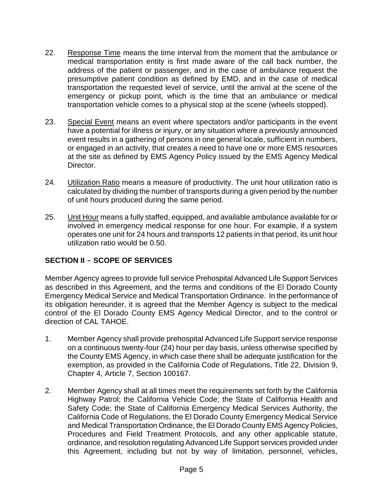- 22. Response Time means the time interval from the moment that the ambulance or medical transportation entity is first made aware of the call back number, the address of the patient or passenger, and in the case of ambulance request the presumptive patient condition as defined by EMD, and in the case of medical transportation the requested level of service, until the arrival at the scene of the emergency or pickup point, which is the time that an ambulance or medical transportation vehicle comes to a physical stop at the scene (wheels stopped).
- 23. Special Event means an event where spectators and/or participants in the event have a potential for illness or injury, or any situation where a previously announced event results in a gathering of persons in one general locale, sufficient in numbers, or engaged in an activity, that creates a need to have one or more EMS resources at the site as defined by EMS Agency Policy issued by the EMS Agency Medical Director.
- 24. Utilization Ratio means a measure of productivity. The unit hour utilization ratio is calculated by dividing the number of transports during a given period by the number of unit hours produced during the same period.
- 25. Unit Hour means a fully staffed, equipped, and available ambulance available for or involved in emergency medical response for one hour. For example, if a system operates one unit for 24 hours and transports 12 patients in that period, its unit hour utilization ratio would be 0.50.

# **SECTION II - SCOPE OF SERVICES**

Member Agency agrees to provide full service Prehospital Advanced Life Support Services as described in this Agreement, and the terms and conditions of the El Dorado County Emergency Medical Service and Medical Transportation Ordinance. In the performance of its obligation hereunder, it is agreed that the Member Agency is subject to the medical control of the El Dorado County EMS Agency Medical Director, and to the control or direction of CAL TAHOE.

- 1. Member Agency shall provide prehospital Advanced Life Support service response on a continuous twenty-four (24) hour per day basis, unless otherwise specified by the County EMS Agency, in which case there shall be adequate justification for the exemption, as provided in the California Code of Regulations, Title 22, Division 9, Chapter 4, Article 7, Section 100167.
- 2. Member Agency shall at all times meet the requirements set forth by the California Highway Patrol; the California Vehicle Code; the State of California Health and Safety Code; the State of California Emergency Medical Services Authority, the California Code of Regulations, the El Dorado County Emergency Medical Service and Medical Transportation Ordinance, the El Dorado County EMS Agency Policies, Procedures and Field Treatment Protocols, and any other applicable statute, ordinance, and resolution regulating Advanced Life Support services provided under this Agreement, including but not by way of limitation, personnel, vehicles,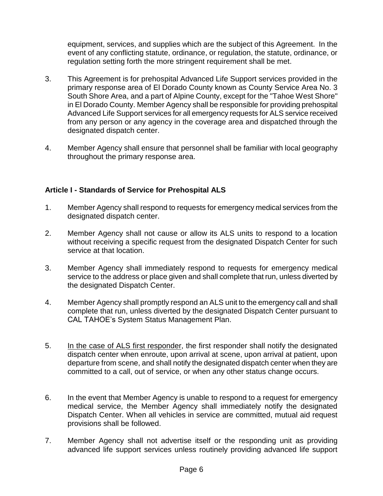equipment, services, and supplies which are the subject of this Agreement. In the event of any conflicting statute, ordinance, or regulation, the statute, ordinance, or regulation setting forth the more stringent requirement shall be met.

- 3. This Agreement is for prehospital Advanced Life Support services provided in the primary response area of El Dorado County known as County Service Area No. 3 South Shore Area, and a part of Alpine County, except for the "Tahoe West Shore" in El Dorado County. Member Agency shall be responsible for providing prehospital Advanced Life Support services for all emergency requests for ALS service received from any person or any agency in the coverage area and dispatched through the designated dispatch center.
- 4. Member Agency shall ensure that personnel shall be familiar with local geography throughout the primary response area.

# **Article I - Standards of Service for Prehospital ALS**

- 1. Member Agency shall respond to requests for emergency medical services from the designated dispatch center.
- 2. Member Agency shall not cause or allow its ALS units to respond to a location without receiving a specific request from the designated Dispatch Center for such service at that location.
- 3. Member Agency shall immediately respond to requests for emergency medical service to the address or place given and shall complete that run, unless diverted by the designated Dispatch Center.
- 4. Member Agency shall promptly respond an ALS unit to the emergency call and shall complete that run, unless diverted by the designated Dispatch Center pursuant to CAL TAHOE's System Status Management Plan.
- 5. In the case of ALS first responder, the first responder shall notify the designated dispatch center when enroute, upon arrival at scene, upon arrival at patient, upon departure from scene, and shall notify the designated dispatch center when they are committed to a call, out of service, or when any other status change occurs.
- 6. In the event that Member Agency is unable to respond to a request for emergency medical service, the Member Agency shall immediately notify the designated Dispatch Center. When all vehicles in service are committed, mutual aid request provisions shall be followed.
- 7. Member Agency shall not advertise itself or the responding unit as providing advanced life support services unless routinely providing advanced life support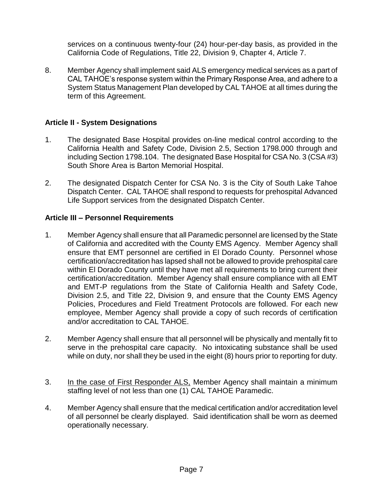services on a continuous twenty-four (24) hour-per-day basis, as provided in the California Code of Regulations, Title 22, Division 9, Chapter 4, Article 7.

8. Member Agency shall implement said ALS emergency medical services as a part of CAL TAHOE's response system within the Primary Response Area, and adhere to a System Status Management Plan developed by CAL TAHOE at all times during the term of this Agreement.

#### **Article II - System Designations**

- 1. The designated Base Hospital provides on-line medical control according to the California Health and Safety Code, Division 2.5, Section 1798.000 through and including Section 1798.104. The designated Base Hospital for CSA No. 3 (CSA #3) South Shore Area is Barton Memorial Hospital.
- 2. The designated Dispatch Center for CSA No. 3 is the City of South Lake Tahoe Dispatch Center. CAL TAHOE shall respond to requests for prehospital Advanced Life Support services from the designated Dispatch Center.

#### **Article III – Personnel Requirements**

- 1. Member Agency shall ensure that all Paramedic personnel are licensed by the State of California and accredited with the County EMS Agency. Member Agency shall ensure that EMT personnel are certified in El Dorado County. Personnel whose certification/accreditation has lapsed shall not be allowed to provide prehospital care within El Dorado County until they have met all requirements to bring current their certification/accreditation. Member Agency shall ensure compliance with all EMT and EMT-P regulations from the State of California Health and Safety Code, Division 2.5, and Title 22, Division 9, and ensure that the County EMS Agency Policies, Procedures and Field Treatment Protocols are followed. For each new employee, Member Agency shall provide a copy of such records of certification and/or accreditation to CAL TAHOE.
- 2. Member Agency shall ensure that all personnel will be physically and mentally fit to serve in the prehospital care capacity. No intoxicating substance shall be used while on duty, nor shall they be used in the eight (8) hours prior to reporting for duty.
- 3. In the case of First Responder ALS, Member Agency shall maintain a minimum staffing level of not less than one (1) CAL TAHOE Paramedic.
- 4. Member Agency shall ensure that the medical certification and/or accreditation level of all personnel be clearly displayed. Said identification shall be worn as deemed operationally necessary.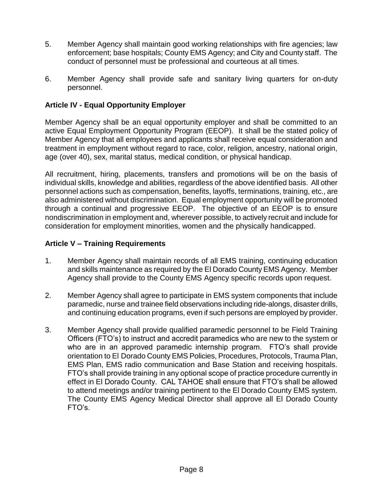- 5. Member Agency shall maintain good working relationships with fire agencies; law enforcement; base hospitals; County EMS Agency; and City and County staff. The conduct of personnel must be professional and courteous at all times.
- 6. Member Agency shall provide safe and sanitary living quarters for on-duty personnel.

# **Article IV - Equal Opportunity Employer**

Member Agency shall be an equal opportunity employer and shall be committed to an active Equal Employment Opportunity Program (EEOP). It shall be the stated policy of Member Agency that all employees and applicants shall receive equal consideration and treatment in employment without regard to race, color, religion, ancestry, national origin, age (over 40), sex, marital status, medical condition, or physical handicap.

All recruitment, hiring, placements, transfers and promotions will be on the basis of individual skills, knowledge and abilities, regardless of the above identified basis. All other personnel actions such as compensation, benefits, layoffs, terminations, training, etc., are also administered without discrimination. Equal employment opportunity will be promoted through a continual and progressive EEOP. The objective of an EEOP is to ensure nondiscrimination in employment and, wherever possible, to actively recruit and include for consideration for employment minorities, women and the physically handicapped.

# **Article V – Training Requirements**

- 1. Member Agency shall maintain records of all EMS training, continuing education and skills maintenance as required by the El Dorado County EMS Agency. Member Agency shall provide to the County EMS Agency specific records upon request.
- 2. Member Agency shall agree to participate in EMS system components that include paramedic, nurse and trainee field observations including ride-alongs, disaster drills, and continuing education programs, even if such persons are employed by provider.
- 3. Member Agency shall provide qualified paramedic personnel to be Field Training Officers (FTO's) to instruct and accredit paramedics who are new to the system or who are in an approved paramedic internship program. FTO's shall provide orientation to El Dorado County EMS Policies, Procedures, Protocols, Trauma Plan, EMS Plan, EMS radio communication and Base Station and receiving hospitals. FTO's shall provide training in any optional scope of practice procedure currently in effect in El Dorado County. CAL TAHOE shall ensure that FTO's shall be allowed to attend meetings and/or training pertinent to the El Dorado County EMS system. The County EMS Agency Medical Director shall approve all El Dorado County FTO's.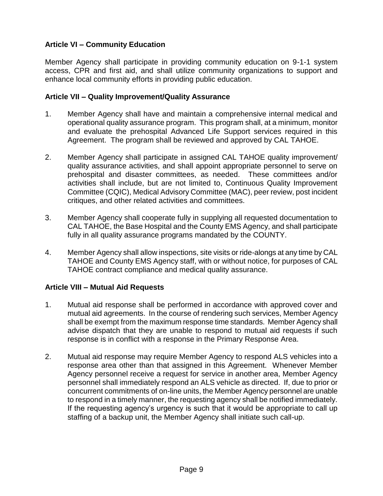# **Article VI – Community Education**

Member Agency shall participate in providing community education on 9-1-1 system access, CPR and first aid, and shall utilize community organizations to support and enhance local community efforts in providing public education.

#### **Article VII – Quality Improvement/Quality Assurance**

- 1. Member Agency shall have and maintain a comprehensive internal medical and operational quality assurance program. This program shall, at a minimum, monitor and evaluate the prehospital Advanced Life Support services required in this Agreement. The program shall be reviewed and approved by CAL TAHOE.
- 2. Member Agency shall participate in assigned CAL TAHOE quality improvement/ quality assurance activities, and shall appoint appropriate personnel to serve on prehospital and disaster committees, as needed. These committees and/or activities shall include, but are not limited to, Continuous Quality Improvement Committee (CQIC), Medical Advisory Committee (MAC), peer review, post incident critiques, and other related activities and committees.
- 3. Member Agency shall cooperate fully in supplying all requested documentation to CAL TAHOE, the Base Hospital and the County EMS Agency, and shall participate fully in all quality assurance programs mandated by the COUNTY.
- 4. Member Agency shall allow inspections, site visits or ride-alongs at any time by CAL TAHOE and County EMS Agency staff, with or without notice, for purposes of CAL TAHOE contract compliance and medical quality assurance.

# **Article VIII – Mutual Aid Requests**

- 1. Mutual aid response shall be performed in accordance with approved cover and mutual aid agreements. In the course of rendering such services, Member Agency shall be exempt from the maximum response time standards. Member Agency shall advise dispatch that they are unable to respond to mutual aid requests if such response is in conflict with a response in the Primary Response Area.
- 2. Mutual aid response may require Member Agency to respond ALS vehicles into a response area other than that assigned in this Agreement. Whenever Member Agency personnel receive a request for service in another area, Member Agency personnel shall immediately respond an ALS vehicle as directed. If, due to prior or concurrent commitments of on-line units, the Member Agency personnel are unable to respond in a timely manner, the requesting agency shall be notified immediately. If the requesting agency's urgency is such that it would be appropriate to call up staffing of a backup unit, the Member Agency shall initiate such call-up.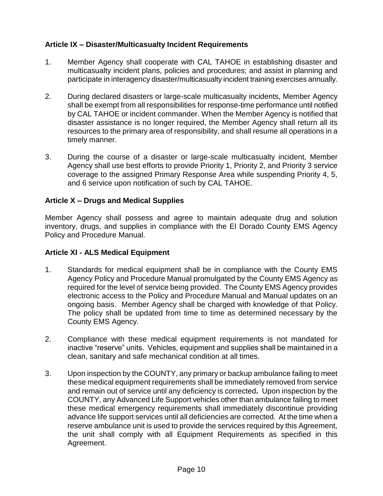# **Article IX – Disaster/Multicasualty Incident Requirements**

- 1. Member Agency shall cooperate with CAL TAHOE in establishing disaster and multicasualty incident plans, policies and procedures; and assist in planning and participate in interagency disaster/multicasualty incident training exercises annually.
- 2. During declared disasters or large-scale multicasualty incidents, Member Agency shall be exempt from all responsibilities for response-time performance until notified by CAL TAHOE or incident commander. When the Member Agency is notified that disaster assistance is no longer required, the Member Agency shall return all its resources to the primary area of responsibility, and shall resume all operations in a timely manner.
- 3. During the course of a disaster or large-scale multicasualty incident, Member Agency shall use best efforts to provide Priority 1, Priority 2, and Priority 3 service coverage to the assigned Primary Response Area while suspending Priority 4, 5, and 6 service upon notification of such by CAL TAHOE.

# **Article X – Drugs and Medical Supplies**

Member Agency shall possess and agree to maintain adequate drug and solution inventory, drugs, and supplies in compliance with the El Dorado County EMS Agency Policy and Procedure Manual.

#### **Article XI - ALS Medical Equipment**

- 1. Standards for medical equipment shall be in compliance with the County EMS Agency Policy and Procedure Manual promulgated by the County EMS Agency as required for the level of service being provided. The County EMS Agency provides electronic access to the Policy and Procedure Manual and Manual updates on an ongoing basis. Member Agency shall be charged with knowledge of that Policy. The policy shall be updated from time to time as determined necessary by the County EMS Agency.
- 2. Compliance with these medical equipment requirements is not mandated for inactive "reserve" units. Vehicles, equipment and supplies shall be maintained in a clean, sanitary and safe mechanical condition at all times.
- 3. Upon inspection by the COUNTY, any primary or backup ambulance failing to meet these medical equipment requirements shall be immediately removed from service and remain out of service until any deficiency is corrected*.* Upon inspection by the COUNTY, any Advanced Life Support vehicles other than ambulance failing to meet these medical emergency requirements shall immediately discontinue providing advance life support services until all deficiencies are corrected. At the time when a reserve ambulance unit is used to provide the services required by this Agreement, the unit shall comply with all Equipment Requirements as specified in this Agreement.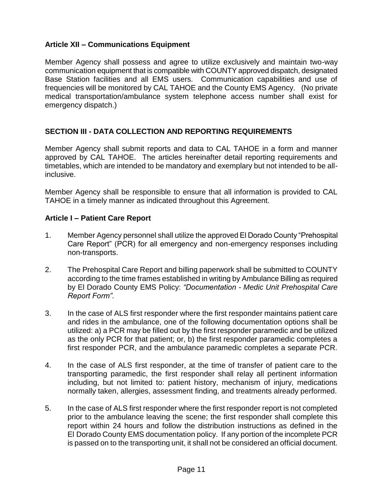# **Article XII – Communications Equipment**

Member Agency shall possess and agree to utilize exclusively and maintain two-way communication equipment that is compatible with COUNTY approved dispatch, designated Base Station facilities and all EMS users. Communication capabilities and use of frequencies will be monitored by CAL TAHOE and the County EMS Agency. (No private medical transportation/ambulance system telephone access number shall exist for emergency dispatch.)

# **SECTION III - DATA COLLECTION AND REPORTING REQUIREMENTS**

Member Agency shall submit reports and data to CAL TAHOE in a form and manner approved by CAL TAHOE. The articles hereinafter detail reporting requirements and timetables, which are intended to be mandatory and exemplary but not intended to be allinclusive.

Member Agency shall be responsible to ensure that all information is provided to CAL TAHOE in a timely manner as indicated throughout this Agreement.

#### **Article I – Patient Care Report**

- 1. Member Agency personnel shall utilize the approved El Dorado County "Prehospital Care Report" (PCR) for all emergency and non-emergency responses including non-transports.
- 2. The Prehospital Care Report and billing paperwork shall be submitted to COUNTY according to the time frames established in writing by Ambulance Billing as required by El Dorado County EMS Policy: *"Documentation - Medic Unit Prehospital Care Report Form"*.
- 3. In the case of ALS first responder where the first responder maintains patient care and rides in the ambulance, one of the following documentation options shall be utilized: a) a PCR may be filled out by the first responder paramedic and be utilized as the only PCR for that patient; or, b) the first responder paramedic completes a first responder PCR, and the ambulance paramedic completes a separate PCR.
- 4. In the case of ALS first responder, at the time of transfer of patient care to the transporting paramedic, the first responder shall relay all pertinent information including, but not limited to: patient history, mechanism of injury, medications normally taken, allergies, assessment finding, and treatments already performed.
- 5. In the case of ALS first responder where the first responder report is not completed prior to the ambulance leaving the scene; the first responder shall complete this report within 24 hours and follow the distribution instructions as defined in the El Dorado County EMS documentation policy. If any portion of the incomplete PCR is passed on to the transporting unit, it shall not be considered an official document.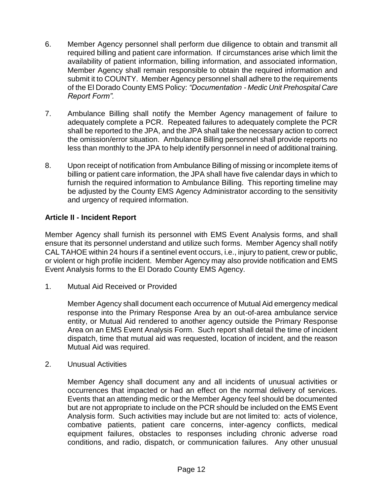- 6. Member Agency personnel shall perform due diligence to obtain and transmit all required billing and patient care information. If circumstances arise which limit the availability of patient information, billing information, and associated information, Member Agency shall remain responsible to obtain the required information and submit it to COUNTY. Member Agency personnel shall adhere to the requirements of the El Dorado County EMS Policy: *"Documentation - Medic Unit Prehospital Care Report Form".*
- 7. Ambulance Billing shall notify the Member Agency management of failure to adequately complete a PCR. Repeated failures to adequately complete the PCR shall be reported to the JPA, and the JPA shall take the necessary action to correct the omission/error situation. Ambulance Billing personnel shall provide reports no less than monthly to the JPA to help identify personnel in need of additional training.
- 8. Upon receipt of notification from Ambulance Billing of missing or incomplete items of billing or patient care information, the JPA shall have five calendar days in which to furnish the required information to Ambulance Billing. This reporting timeline may be adjusted by the County EMS Agency Administrator according to the sensitivity and urgency of required information.

# **Article II - Incident Report**

Member Agency shall furnish its personnel with EMS Event Analysis forms, and shall ensure that its personnel understand and utilize such forms. Member Agency shall notify CAL TAHOE within 24 hours if a sentinel event occurs, i.e., injury to patient, crew or public, or violent or high profile incident. Member Agency may also provide notification and EMS Event Analysis forms to the El Dorado County EMS Agency.

1. Mutual Aid Received or Provided

Member Agency shall document each occurrence of Mutual Aid emergency medical response into the Primary Response Area by an out-of-area ambulance service entity, or Mutual Aid rendered to another agency outside the Primary Response Area on an EMS Event Analysis Form. Such report shall detail the time of incident dispatch, time that mutual aid was requested, location of incident, and the reason Mutual Aid was required.

2. Unusual Activities

Member Agency shall document any and all incidents of unusual activities or occurrences that impacted or had an effect on the normal delivery of services. Events that an attending medic or the Member Agency feel should be documented but are not appropriate to include on the PCR should be included on the EMS Event Analysis form. Such activities may include but are not limited to: acts of violence, combative patients, patient care concerns, inter-agency conflicts, medical equipment failures, obstacles to responses including chronic adverse road conditions, and radio, dispatch, or communication failures. Any other unusual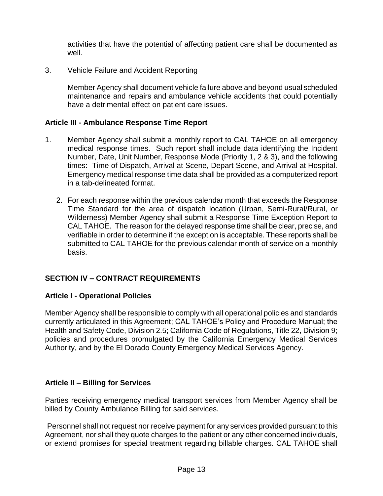activities that have the potential of affecting patient care shall be documented as well.

3. Vehicle Failure and Accident Reporting

Member Agency shall document vehicle failure above and beyond usual scheduled maintenance and repairs and ambulance vehicle accidents that could potentially have a detrimental effect on patient care issues.

#### **Article III - Ambulance Response Time Report**

- 1. Member Agency shall submit a monthly report to CAL TAHOE on all emergency medical response times. Such report shall include data identifying the Incident Number, Date, Unit Number, Response Mode (Priority 1, 2 & 3), and the following times: Time of Dispatch, Arrival at Scene, Depart Scene, and Arrival at Hospital. Emergency medical response time data shall be provided as a computerized report in a tab-delineated format.
	- 2. For each response within the previous calendar month that exceeds the Response Time Standard for the area of dispatch location (Urban, Semi-Rural/Rural, or Wilderness) Member Agency shall submit a Response Time Exception Report to CAL TAHOE. The reason for the delayed response time shall be clear, precise, and verifiable in order to determine if the exception is acceptable. These reports shall be submitted to CAL TAHOE for the previous calendar month of service on a monthly basis.

#### **SECTION IV – CONTRACT REQUIREMENTS**

#### **Article I - Operational Policies**

Member Agency shall be responsible to comply with all operational policies and standards currently articulated in this Agreement; CAL TAHOE's Policy and Procedure Manual; the Health and Safety Code, Division 2.5; California Code of Regulations, Title 22, Division 9; policies and procedures promulgated by the California Emergency Medical Services Authority, and by the El Dorado County Emergency Medical Services Agency.

#### **Article II – Billing for Services**

Parties receiving emergency medical transport services from Member Agency shall be billed by County Ambulance Billing for said services.

Personnel shall not request nor receive payment for any services provided pursuant to this Agreement, nor shall they quote charges to the patient or any other concerned individuals, or extend promises for special treatment regarding billable charges. CAL TAHOE shall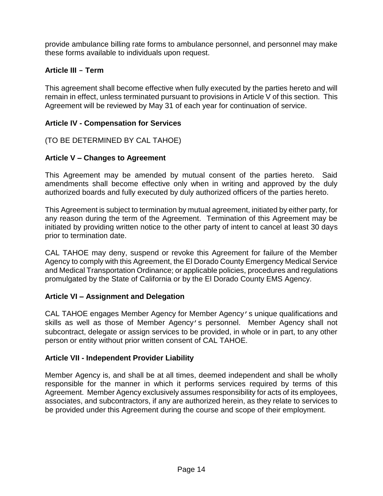provide ambulance billing rate forms to ambulance personnel, and personnel may make these forms available to individuals upon request.

# **Article III - Term**

This agreement shall become effective when fully executed by the parties hereto and will remain in effect, unless terminated pursuant to provisions in Article V of this section. This Agreement will be reviewed by May 31 of each year for continuation of service.

# **Article IV - Compensation for Services**

(TO BE DETERMINED BY CAL TAHOE)

#### **Article V – Changes to Agreement**

This Agreement may be amended by mutual consent of the parties hereto. Said amendments shall become effective only when in writing and approved by the duly authorized boards and fully executed by duly authorized officers of the parties hereto.

This Agreement is subject to termination by mutual agreement, initiated by either party, for any reason during the term of the Agreement. Termination of this Agreement may be initiated by providing written notice to the other party of intent to cancel at least 30 days prior to termination date.

CAL TAHOE may deny, suspend or revoke this Agreement for failure of the Member Agency to comply with this Agreement, the El Dorado County Emergency Medical Service and Medical Transportation Ordinance; or applicable policies, procedures and regulations promulgated by the State of California or by the El Dorado County EMS Agency.

# **Article VI – Assignment and Delegation**

CAL TAHOE engages Member Agency for Member Agency's unique qualifications and skills as well as those of Member Agency's personnel. Member Agency shall not subcontract, delegate or assign services to be provided, in whole or in part, to any other person or entity without prior written consent of CAL TAHOE.

#### **Article VII - Independent Provider Liability**

Member Agency is, and shall be at all times, deemed independent and shall be wholly responsible for the manner in which it performs services required by terms of this Agreement. Member Agency exclusively assumes responsibility for acts of its employees, associates, and subcontractors, if any are authorized herein, as they relate to services to be provided under this Agreement during the course and scope of their employment.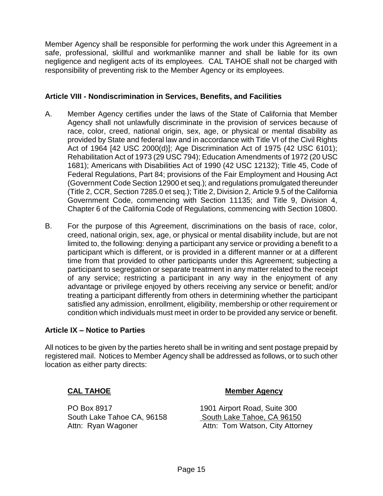Member Agency shall be responsible for performing the work under this Agreement in a safe, professional, skillful and workmanlike manner and shall be liable for its own negligence and negligent acts of its employees. CAL TAHOE shall not be charged with responsibility of preventing risk to the Member Agency or its employees.

#### **Article VIII - Nondiscrimination in Services, Benefits, and Facilities**

- A. Member Agency certifies under the laws of the State of California that Member Agency shall not unlawfully discriminate in the provision of services because of race, color, creed, national origin, sex, age, or physical or mental disability as provided by State and federal law and in accordance with Title VI of the Civil Rights Act of 1964 [42 USC 2000(d)]; Age Discrimination Act of 1975 (42 USC 6101); Rehabilitation Act of 1973 (29 USC 794); Education Amendments of 1972 (20 USC 1681); Americans with Disabilities Act of 1990 (42 USC 12132); Title 45, Code of Federal Regulations, Part 84; provisions of the Fair Employment and Housing Act (Government Code Section 12900 et seq.); and regulations promulgated thereunder (Title 2, CCR, Section 7285.0 et seq.); Title 2, Division 2, Article 9.5 of the California Government Code, commencing with Section 11135; and Title 9, Division 4, Chapter 6 of the California Code of Regulations, commencing with Section 10800.
- B. For the purpose of this Agreement, discriminations on the basis of race, color, creed, national origin, sex, age, or physical or mental disability include, but are not limited to, the following: denying a participant any service or providing a benefit to a participant which is different, or is provided in a different manner or at a different time from that provided to other participants under this Agreement; subjecting a participant to segregation or separate treatment in any matter related to the receipt of any service; restricting a participant in any way in the enjoyment of any advantage or privilege enjoyed by others receiving any service or benefit; and/or treating a participant differently from others in determining whether the participant satisfied any admission, enrollment, eligibility, membership or other requirement or condition which individuals must meet in order to be provided any service or benefit.

# **Article IX – Notice to Parties**

All notices to be given by the parties hereto shall be in writing and sent postage prepaid by registered mail. Notices to Member Agency shall be addressed as follows, or to such other location as either party directs:

PO Box 8917 1901 Airport Road, Suite 300

#### **CAL TAHOE Member Agency**

South Lake Tahoe CA, 96158 South Lake Tahoe, CA 96150 Attn: Ryan Wagoner **Attn: Tom Watson, City Attorney**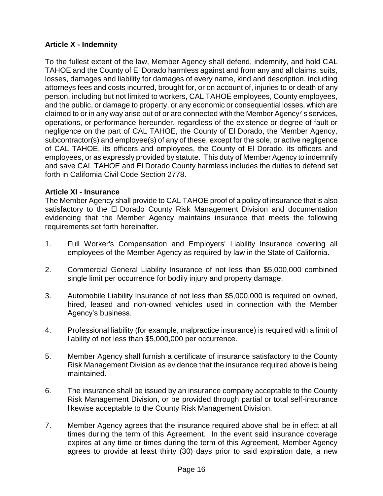# **Article X - Indemnity**

To the fullest extent of the law, Member Agency shall defend, indemnify, and hold CAL TAHOE and the County of El Dorado harmless against and from any and all claims, suits, losses, damages and liability for damages of every name, kind and description, including attorneys fees and costs incurred, brought for, or on account of, injuries to or death of any person, including but not limited to workers, CAL TAHOE employees, County employees, and the public, or damage to property, or any economic or consequential losses, which are claimed to or in any way arise out of or are connected with the Member Agency's services, operations, or performance hereunder, regardless of the existence or degree of fault or negligence on the part of CAL TAHOE, the County of El Dorado, the Member Agency, subcontractor(s) and employee(s) of any of these, except for the sole, or active negligence of CAL TAHOE, its officers and employees, the County of El Dorado, its officers and employees, or as expressly provided by statute. This duty of Member Agency to indemnify and save CAL TAHOE and El Dorado County harmless includes the duties to defend set forth in California Civil Code Section 2778.

#### **Article XI - Insurance**

The Member Agency shall provide to CAL TAHOE proof of a policy of insurance that is also satisfactory to the El Dorado County Risk Management Division and documentation evidencing that the Member Agency maintains insurance that meets the following requirements set forth hereinafter.

- 1. Full Worker's Compensation and Employers' Liability Insurance covering all employees of the Member Agency as required by law in the State of California.
- 2. Commercial General Liability Insurance of not less than \$5,000,000 combined single limit per occurrence for bodily injury and property damage.
- 3. Automobile Liability Insurance of not less than \$5,000,000 is required on owned, hired, leased and non-owned vehicles used in connection with the Member Agency's business.
- 4. Professional liability (for example, malpractice insurance) is required with a limit of liability of not less than \$5,000,000 per occurrence.
- 5. Member Agency shall furnish a certificate of insurance satisfactory to the County Risk Management Division as evidence that the insurance required above is being maintained.
- 6. The insurance shall be issued by an insurance company acceptable to the County Risk Management Division, or be provided through partial or total self-insurance likewise acceptable to the County Risk Management Division.
- 7. Member Agency agrees that the insurance required above shall be in effect at all times during the term of this Agreement. In the event said insurance coverage expires at any time or times during the term of this Agreement, Member Agency agrees to provide at least thirty (30) days prior to said expiration date, a new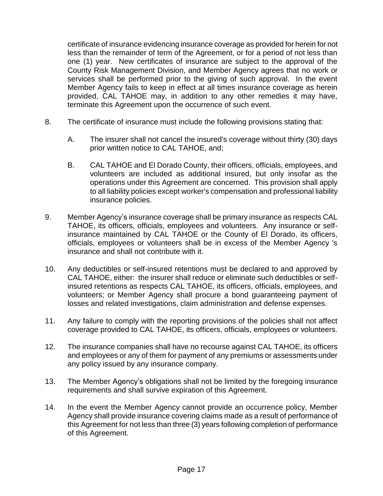certificate of insurance evidencing insurance coverage as provided for herein for not less than the remainder of term of the Agreement, or for a period of not less than one (1) year. New certificates of insurance are subject to the approval of the County Risk Management Division, and Member Agency agrees that no work or services shall be performed prior to the giving of such approval. In the event Member Agency fails to keep in effect at all times insurance coverage as herein provided, CAL TAHOE may, in addition to any other remedies it may have, terminate this Agreement upon the occurrence of such event.

- 8. The certificate of insurance must include the following provisions stating that:
	- A. The insurer shall not cancel the insured's coverage without thirty (30) days prior written notice to CAL TAHOE, and;
	- B. CAL TAHOE and El Dorado County, their officers, officials, employees, and volunteers are included as additional insured, but only insofar as the operations under this Agreement are concerned. This provision shall apply to all liability policies except worker's compensation and professional liability insurance policies.
- 9. Member Agency's insurance coverage shall be primary insurance as respects CAL TAHOE, its officers, officials, employees and volunteers. Any insurance or selfinsurance maintained by CAL TAHOE or the County of El Dorado, its officers, officials, employees or volunteers shall be in excess of the Member Agency 's insurance and shall not contribute with it.
- 10. Any deductibles or self-insured retentions must be declared to and approved by CAL TAHOE, either: the insurer shall reduce or eliminate such deductibles or selfinsured retentions as respects CAL TAHOE, its officers, officials, employees, and volunteers; or Member Agency shall procure a bond guaranteeing payment of losses and related investigations, claim administration and defense expenses.
- 11. Any failure to comply with the reporting provisions of the policies shall not affect coverage provided to CAL TAHOE, its officers, officials, employees or volunteers.
- 12. The insurance companies shall have no recourse against CAL TAHOE, its officers and employees or any of them for payment of any premiums or assessments under any policy issued by any insurance company.
- 13. The Member Agency's obligations shall not be limited by the foregoing insurance requirements and shall survive expiration of this Agreement.
- 14. In the event the Member Agency cannot provide an occurrence policy, Member Agency shall provide insurance covering claims made as a result of performance of this Agreement for not less than three (3) years following completion of performance of this Agreement.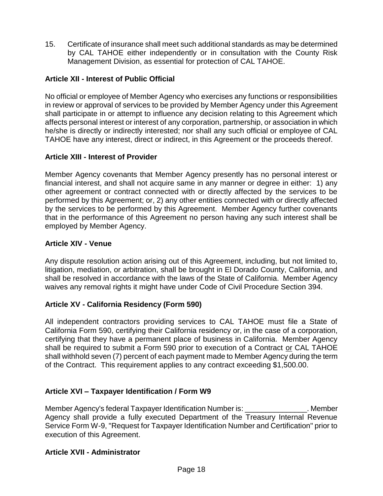15. Certificate of insurance shall meet such additional standards as may be determined by CAL TAHOE either independently or in consultation with the County Risk Management Division, as essential for protection of CAL TAHOE.

# **Article XII - Interest of Public Official**

No official or employee of Member Agency who exercises any functions or responsibilities in review or approval of services to be provided by Member Agency under this Agreement shall participate in or attempt to influence any decision relating to this Agreement which affects personal interest or interest of any corporation, partnership, or association in which he/she is directly or indirectly interested; nor shall any such official or employee of CAL TAHOE have any interest, direct or indirect, in this Agreement or the proceeds thereof.

# **Article XIII - Interest of Provider**

Member Agency covenants that Member Agency presently has no personal interest or financial interest, and shall not acquire same in any manner or degree in either: 1) any other agreement or contract connected with or directly affected by the services to be performed by this Agreement; or, 2) any other entities connected with or directly affected by the services to be performed by this Agreement. Member Agency further covenants that in the performance of this Agreement no person having any such interest shall be employed by Member Agency.

#### **Article XIV - Venue**

Any dispute resolution action arising out of this Agreement, including, but not limited to, litigation, mediation, or arbitration, shall be brought in El Dorado County, California, and shall be resolved in accordance with the laws of the State of California. Member Agency waives any removal rights it might have under Code of Civil Procedure Section 394.

# **Article XV - California Residency (Form 590)**

All independent contractors providing services to CAL TAHOE must file a State of California Form 590, certifying their California residency or, in the case of a corporation, certifying that they have a permanent place of business in California. Member Agency shall be required to submit a Form 590 prior to execution of a Contract or CAL TAHOE shall withhold seven (7) percent of each payment made to Member Agency during the term of the Contract. This requirement applies to any contract exceeding \$1,500.00.

# **Article XVI – Taxpayer Identification / Form W9**

Member Agency's federal Taxpayer Identification Number is: \_\_\_\_\_\_\_\_\_\_\_\_\_\_\_. Member Agency shall provide a fully executed Department of the Treasury Internal Revenue Service Form W-9, "Request for Taxpayer Identification Number and Certification" prior to execution of this Agreement.

# **Article XVII - Administrator**